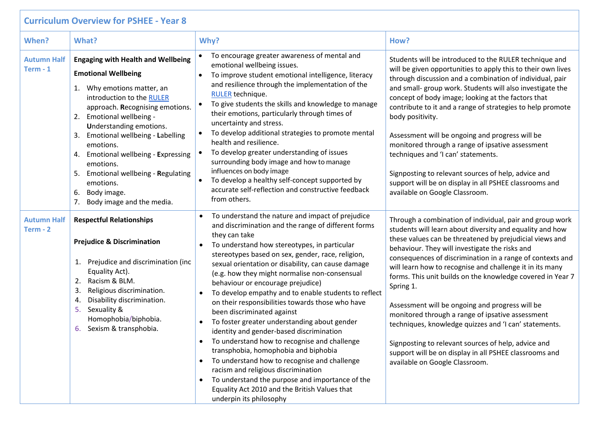| <b>Curriculum Overview for PSHEE - Year 8</b> |                                                                                                                                                                                                                                                                                                                                                                                                                                                                       |                                                                                                                                                                                                                                                                                                                                                                                                                                                                                                                                                                                                                                                                                                                                                                                                                                                                                                                                                                      |                                                                                                                                                                                                                                                                                                                                                                                                                                                                                                                                                                                                                                                                                                                                                          |  |  |  |
|-----------------------------------------------|-----------------------------------------------------------------------------------------------------------------------------------------------------------------------------------------------------------------------------------------------------------------------------------------------------------------------------------------------------------------------------------------------------------------------------------------------------------------------|----------------------------------------------------------------------------------------------------------------------------------------------------------------------------------------------------------------------------------------------------------------------------------------------------------------------------------------------------------------------------------------------------------------------------------------------------------------------------------------------------------------------------------------------------------------------------------------------------------------------------------------------------------------------------------------------------------------------------------------------------------------------------------------------------------------------------------------------------------------------------------------------------------------------------------------------------------------------|----------------------------------------------------------------------------------------------------------------------------------------------------------------------------------------------------------------------------------------------------------------------------------------------------------------------------------------------------------------------------------------------------------------------------------------------------------------------------------------------------------------------------------------------------------------------------------------------------------------------------------------------------------------------------------------------------------------------------------------------------------|--|--|--|
| When?                                         | What?                                                                                                                                                                                                                                                                                                                                                                                                                                                                 | Why?                                                                                                                                                                                                                                                                                                                                                                                                                                                                                                                                                                                                                                                                                                                                                                                                                                                                                                                                                                 | How?                                                                                                                                                                                                                                                                                                                                                                                                                                                                                                                                                                                                                                                                                                                                                     |  |  |  |
| <b>Autumn Half</b><br>$Term - 1$              | <b>Engaging with Health and Wellbeing</b><br><b>Emotional Wellbeing</b><br>Why emotions matter, an<br>1.<br>introduction to the RULER<br>approach. Recognising emotions.<br>Emotional wellbeing -<br>2.<br>Understanding emotions.<br>Emotional wellbeing - Labelling<br>3.<br>emotions.<br><b>Emotional wellbeing - Expressing</b><br>4.<br>emotions.<br>Emotional wellbeing - Regulating<br>5.<br>emotions.<br>6.<br>Body image.<br>7.<br>Body image and the media. | To encourage greater awareness of mental and<br>emotional wellbeing issues.<br>To improve student emotional intelligence, literacy<br>and resilience through the implementation of the<br><b>RULER</b> technique.<br>To give students the skills and knowledge to manage<br>$\bullet$<br>their emotions, particularly through times of<br>uncertainty and stress.<br>To develop additional strategies to promote mental<br>$\bullet$<br>health and resilience.<br>To develop greater understanding of issues<br>surrounding body image and how to manage<br>influences on body image<br>To develop a healthy self-concept supported by<br>accurate self-reflection and constructive feedback<br>from others.                                                                                                                                                                                                                                                         | Students will be introduced to the RULER technique and<br>will be given opportunities to apply this to their own lives<br>through discussion and a combination of individual, pair<br>and small- group work. Students will also investigate the<br>concept of body image; looking at the factors that<br>contribute to it and a range of strategies to help promote<br>body positivity.<br>Assessment will be ongoing and progress will be<br>monitored through a range of ipsative assessment<br>techniques and 'I can' statements.<br>Signposting to relevant sources of help, advice and<br>support will be on display in all PSHEE classrooms and<br>available on Google Classroom.                                                                  |  |  |  |
| <b>Autumn Half</b><br>Term - 2                | <b>Respectful Relationships</b><br><b>Prejudice &amp; Discrimination</b><br>Prejudice and discrimination (inc<br>1.<br>Equality Act).<br>Racism & BLM.<br>2.<br>Religious discrimination.<br>3.<br>Disability discrimination.<br>4.<br>Sexuality &<br>5.<br>Homophobia/biphobia.<br>6. Sexism & transphobia.                                                                                                                                                          | To understand the nature and impact of prejudice<br>and discrimination and the range of different forms<br>they can take<br>To understand how stereotypes, in particular<br>stereotypes based on sex, gender, race, religion,<br>sexual orientation or disability, can cause damage<br>(e.g. how they might normalise non-consensual<br>behaviour or encourage prejudice)<br>To develop empathy and to enable students to reflect<br>on their responsibilities towards those who have<br>been discriminated against<br>To foster greater understanding about gender<br>identity and gender-based discrimination<br>To understand how to recognise and challenge<br>$\bullet$<br>transphobia, homophobia and biphobia<br>To understand how to recognise and challenge<br>$\bullet$<br>racism and religious discrimination<br>To understand the purpose and importance of the<br>$\bullet$<br>Equality Act 2010 and the British Values that<br>underpin its philosophy | Through a combination of individual, pair and group work<br>students will learn about diversity and equality and how<br>these values can be threatened by prejudicial views and<br>behaviour. They will investigate the risks and<br>consequences of discrimination in a range of contexts and<br>will learn how to recognise and challenge it in its many<br>forms. This unit builds on the knowledge covered in Year 7<br>Spring 1.<br>Assessment will be ongoing and progress will be<br>monitored through a range of ipsative assessment<br>techniques, knowledge quizzes and 'I can' statements.<br>Signposting to relevant sources of help, advice and<br>support will be on display in all PSHEE classrooms and<br>available on Google Classroom. |  |  |  |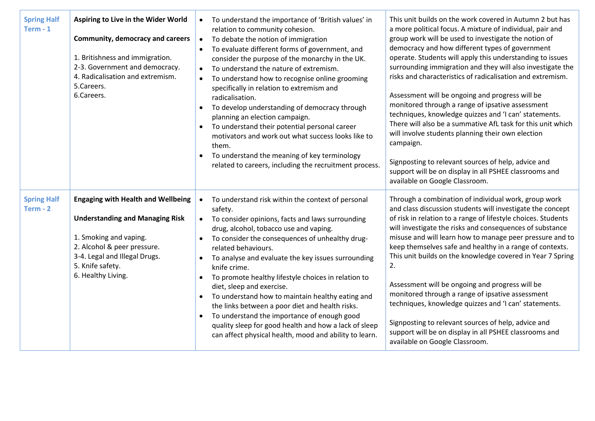| <b>Spring Half</b><br>$Term - 1$ | Aspiring to Live in the Wider World<br><b>Community, democracy and careers</b><br>1. Britishness and immigration.<br>2-3. Government and democracy.<br>4. Radicalisation and extremism.<br>5.Careers.<br>6.Careers.     | To understand the importance of 'British values' in<br>$\bullet$<br>relation to community cohesion.<br>To debate the notion of immigration<br>$\bullet$<br>To evaluate different forms of government, and<br>consider the purpose of the monarchy in the UK.<br>To understand the nature of extremism.<br>To understand how to recognise online grooming<br>$\bullet$<br>specifically in relation to extremism and<br>radicalisation.<br>To develop understanding of democracy through<br>planning an election campaign.<br>To understand their potential personal career<br>$\bullet$<br>motivators and work out what success looks like to<br>them.<br>To understand the meaning of key terminology<br>related to careers, including the recruitment process. | This unit builds on the work covered in Autumn 2 but has<br>a more political focus. A mixture of individual, pair and<br>group work will be used to investigate the notion of<br>democracy and how different types of government<br>operate. Students will apply this understanding to issues<br>surrounding immigration and they will also investigate the<br>risks and characteristics of radicalisation and extremism.<br>Assessment will be ongoing and progress will be<br>monitored through a range of ipsative assessment<br>techniques, knowledge quizzes and 'I can' statements.<br>There will also be a summative AfL task for this unit which<br>will involve students planning their own election<br>campaign.<br>Signposting to relevant sources of help, advice and<br>support will be on display in all PSHEE classrooms and<br>available on Google Classroom. |
|----------------------------------|-------------------------------------------------------------------------------------------------------------------------------------------------------------------------------------------------------------------------|-----------------------------------------------------------------------------------------------------------------------------------------------------------------------------------------------------------------------------------------------------------------------------------------------------------------------------------------------------------------------------------------------------------------------------------------------------------------------------------------------------------------------------------------------------------------------------------------------------------------------------------------------------------------------------------------------------------------------------------------------------------------|-------------------------------------------------------------------------------------------------------------------------------------------------------------------------------------------------------------------------------------------------------------------------------------------------------------------------------------------------------------------------------------------------------------------------------------------------------------------------------------------------------------------------------------------------------------------------------------------------------------------------------------------------------------------------------------------------------------------------------------------------------------------------------------------------------------------------------------------------------------------------------|
| <b>Spring Half</b><br>$Term - 2$ | <b>Engaging with Health and Wellbeing</b><br><b>Understanding and Managing Risk</b><br>1. Smoking and vaping.<br>2. Alcohol & peer pressure.<br>3-4. Legal and Illegal Drugs.<br>5. Knife safety.<br>6. Healthy Living. | To understand risk within the context of personal<br>$\bullet$<br>safety.<br>To consider opinions, facts and laws surrounding<br>$\bullet$<br>drug, alcohol, tobacco use and vaping.<br>To consider the consequences of unhealthy drug-<br>related behaviours.<br>To analyse and evaluate the key issues surrounding<br>knife crime.<br>To promote healthy lifestyle choices in relation to<br>$\bullet$<br>diet, sleep and exercise.<br>To understand how to maintain healthy eating and<br>the links between a poor diet and health risks.<br>To understand the importance of enough good<br>quality sleep for good health and how a lack of sleep<br>can affect physical health, mood and ability to learn.                                                  | Through a combination of individual work, group work<br>and class discussion students will investigate the concept<br>of risk in relation to a range of lifestyle choices. Students<br>will investigate the risks and consequences of substance<br>misuse and will learn how to manage peer pressure and to<br>keep themselves safe and healthy in a range of contexts.<br>This unit builds on the knowledge covered in Year 7 Spring<br>2.<br>Assessment will be ongoing and progress will be<br>monitored through a range of ipsative assessment<br>techniques, knowledge quizzes and 'I can' statements.<br>Signposting to relevant sources of help, advice and<br>support will be on display in all PSHEE classrooms and<br>available on Google Classroom.                                                                                                                |